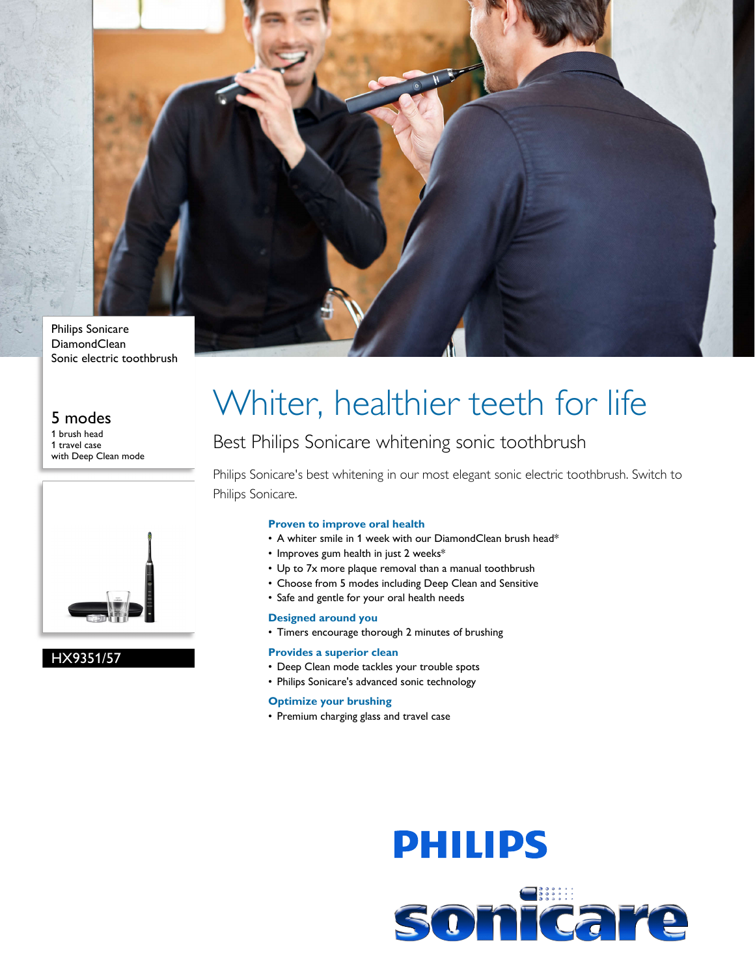

#### Philips Sonicare DiamondClean Sonic electric toothbrush

## 5 modes

1 brush head 1 travel case with Deep Clean mode



### HX9351/57

# Whiter, healthier teeth for life

## Best Philips Sonicare whitening sonic toothbrush

Philips Sonicare's best whitening in our most elegant sonic electric toothbrush. Switch to Philips Sonicare.

#### **Proven to improve oral health**

- A whiter smile in 1 week with our DiamondClean brush head\*
- Improves gum health in just 2 weeks\*
- Up to 7x more plaque removal than a manual toothbrush
- Choose from 5 modes including Deep Clean and Sensitive
- Safe and gentle for your oral health needs

#### **Designed around you**

• Timers encourage thorough 2 minutes of brushing

#### **Provides a superior clean**

- Deep Clean mode tackles your trouble spots
- Philips Sonicare's advanced sonic technology

#### **Optimize your brushing**

• Premium charging glass and travel case

# **PHILIPS** sonicare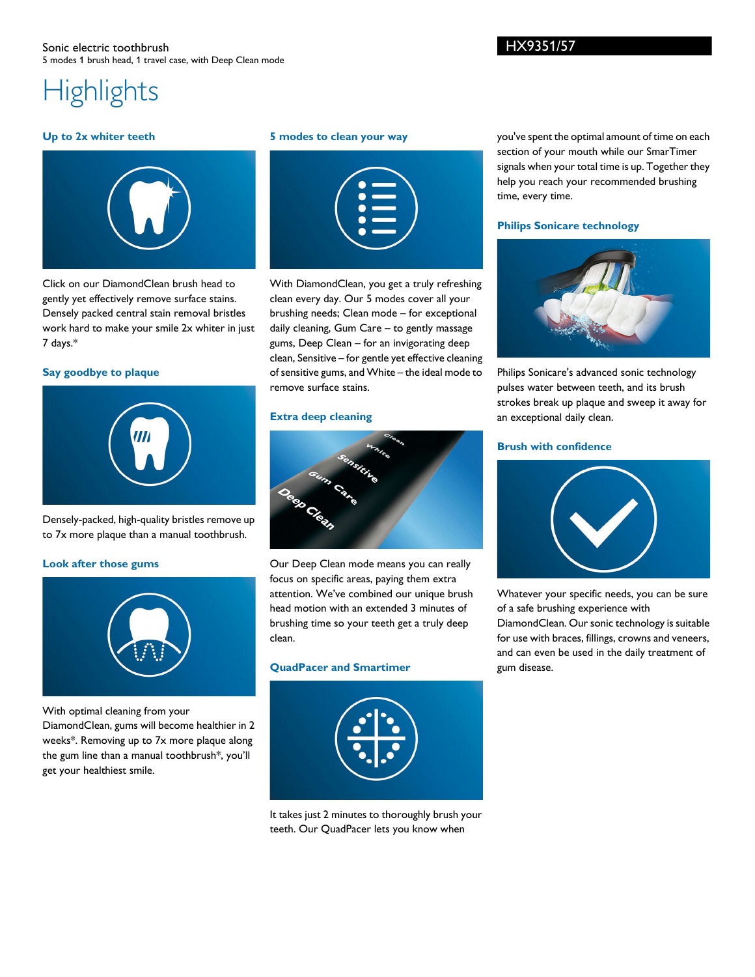#### Sonic electric toothbrush 5 modes 1 brush head, 1 travel case, with Deep Clean mode

# **Highlights**

#### **Up to 2x whiter teeth**



Click on our DiamondClean brush head to gently yet effectively remove surface stains. Densely packed central stain removal bristles work hard to make your smile 2x whiter in just 7 days.\*

#### **Say goodbye to plaque**



Densely-packed, high-quality bristles remove up to 7x more plaque than a manual toothbrush.

#### **Look after those gums**



With optimal cleaning from your

DiamondClean, gums will become healthier in 2 weeks\*. Removing up to 7x more plaque along the gum line than a manual toothbrush\*, you'll get your healthiest smile.

#### **5 modes to clean your way**

|  | $\overline{\phantom{0}}$<br>$\bullet$                |                                                                                                                                                                                                                                |  |
|--|------------------------------------------------------|--------------------------------------------------------------------------------------------------------------------------------------------------------------------------------------------------------------------------------|--|
|  | $\bullet$ $\blacksquare$<br>$\bullet$ $\blacksquare$ |                                                                                                                                                                                                                                |  |
|  |                                                      | and the contract of the contract of the contract of the contract of the contract of the contract of the contract of the contract of the contract of the contract of the contract of the contract of the contract of the contra |  |

With DiamondClean, you get a truly refreshing clean every day. Our 5 modes cover all your brushing needs; Clean mode – for exceptional daily cleaning, Gum Care – to gently massage gums, Deep Clean – for an invigorating deep clean, Sensitive – for gentle yet effective cleaning of sensitive gums, and White – the ideal mode to remove surface stains.

#### **Extra deep cleaning**



Our Deep Clean mode means you can really focus on specific areas, paying them extra attention. We've combined our unique brush head motion with an extended 3 minutes of brushing time so your teeth get a truly deep clean.

#### **QuadPacer and Smartimer**



It takes just 2 minutes to thoroughly brush your teeth. Our QuadPacer lets you know when

you've spent the optimal amount of time on each section of your mouth while our SmarTimer signals when your total time is up. Together they help you reach your recommended brushing time, every time.

#### **Philips Sonicare technology**



Philips Sonicare's advanced sonic technology pulses water between teeth, and its brush strokes break up plaque and sweep it away for an exceptional daily clean.

#### **Brush with confidence**



Whatever your specific needs, you can be sure of a safe brushing experience with DiamondClean. Our sonic technology is suitable for use with braces, fillings, crowns and veneers, and can even be used in the daily treatment of gum disease.